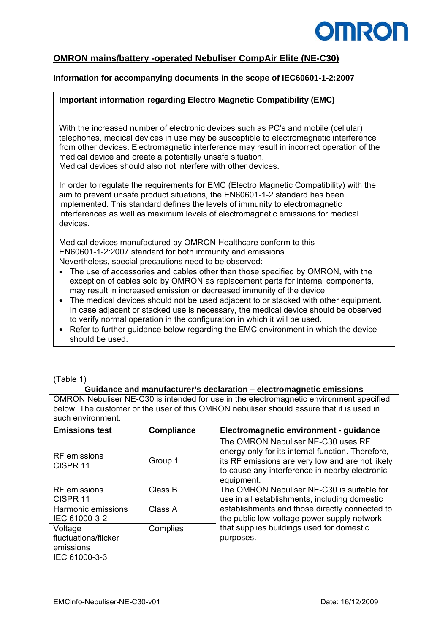

## **OMRON mains/battery -operated Nebuliser CompAir Elite (NE-C30)**

## **Information for accompanying documents in the scope of IEC60601-1-2:2007**

## **Important information regarding Electro Magnetic Compatibility (EMC)**

With the increased number of electronic devices such as PC's and mobile (cellular) telephones, medical devices in use may be susceptible to electromagnetic interference from other devices. Electromagnetic interference may result in incorrect operation of the medical device and create a potentially unsafe situation. Medical devices should also not interfere with other devices.

In order to regulate the requirements for EMC (Electro Magnetic Compatibility) with the aim to prevent unsafe product situations, the EN60601-1-2 standard has been implemented. This standard defines the levels of immunity to electromagnetic interferences as well as maximum levels of electromagnetic emissions for medical devices.

Medical devices manufactured by OMRON Healthcare conform to this EN60601-1-2:2007 standard for both immunity and emissions. Nevertheless, special precautions need to be observed:

- The use of accessories and cables other than those specified by OMRON, with the exception of cables sold by OMRON as replacement parts for internal components, may result in increased emission or decreased immunity of the device.
- The medical devices should not be used adiacent to or stacked with other equipment. In case adjacent or stacked use is necessary, the medical device should be observed to verify normal operation in the configuration in which it will be used.
- Refer to further guidance below regarding the EMC environment in which the device should be used.

#### (Table 1)

| Guidance and manufacturer's declaration – electromagnetic emissions                      |
|------------------------------------------------------------------------------------------|
| OMRON Nebuliser NE-C30 is intended for use in the electromagnetic environment specified  |
| below. The customer or the user of this OMRON nebuliser should assure that it is used in |
| such environment.                                                                        |

| <b>Emissions test</b>                      | <b>Compliance</b> | Electromagnetic environment - guidance                                                                                                                                                                      |
|--------------------------------------------|-------------------|-------------------------------------------------------------------------------------------------------------------------------------------------------------------------------------------------------------|
| <b>RF</b> emissions<br>CISPR <sub>11</sub> | Group 1           | The OMRON Nebuliser NE-C30 uses RF<br>energy only for its internal function. Therefore,<br>its RF emissions are very low and are not likely<br>to cause any interference in nearby electronic<br>equipment. |
| <b>RF</b> emissions<br>CISPR <sub>11</sub> | Class B           | The OMRON Nebuliser NE-C30 is suitable for<br>use in all establishments, including domestic                                                                                                                 |
| Harmonic emissions<br>IEC 61000-3-2        | Class A           | establishments and those directly connected to<br>the public low-voltage power supply network                                                                                                               |
| Voltage<br>fluctuations/flicker            | Complies          | that supplies buildings used for domestic<br>purposes.                                                                                                                                                      |
| emissions<br>IEC 61000-3-3                 |                   |                                                                                                                                                                                                             |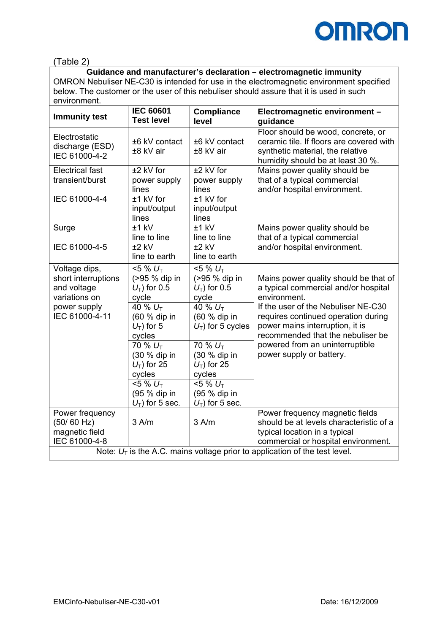

(Table 2)

# **Guidance and manufacturer's declaration – electromagnetic immunity**

OMRON Nebuliser NE-C30 is intended for use in the electromagnetic environment specified below. The customer or the user of this nebuliser should assure that it is used in such environment.

| <b>Immunity test</b>                                                                                   | <b>IEC 60601</b><br><b>Test level</b>                                                                                         | <b>Compliance</b><br>level                                                                                                   | Electromagnetic environment -<br>guidance                                                                                                                                                                                                           |
|--------------------------------------------------------------------------------------------------------|-------------------------------------------------------------------------------------------------------------------------------|------------------------------------------------------------------------------------------------------------------------------|-----------------------------------------------------------------------------------------------------------------------------------------------------------------------------------------------------------------------------------------------------|
| Electrostatic<br>discharge (ESD)<br>IEC 61000-4-2                                                      | ±6 kV contact<br>±8 kV air                                                                                                    | ±6 kV contact<br>±8 kV air                                                                                                   | Floor should be wood, concrete, or<br>ceramic tile. If floors are covered with<br>synthetic material, the relative<br>humidity should be at least 30 %.                                                                                             |
| <b>Electrical fast</b><br>transient/burst<br>IEC 61000-4-4                                             | $±2$ kV for<br>power supply<br>lines<br>$±1$ kV for<br>input/output<br>lines                                                  | $±2$ kV for<br>power supply<br>lines<br>±1 kV for<br>input/output<br>lines                                                   | Mains power quality should be<br>that of a typical commercial<br>and/or hospital environment.                                                                                                                                                       |
| Surge<br>IEC 61000-4-5                                                                                 | $±1$ kV<br>line to line<br>$±2$ kV<br>line to earth                                                                           | $±1$ kV<br>line to line<br>$±2$ kV<br>line to earth                                                                          | Mains power quality should be<br>that of a typical commercial<br>and/or hospital environment.                                                                                                                                                       |
| Voltage dips,<br>short interruptions<br>and voltage<br>variations on<br>power supply<br>IEC 61000-4-11 | $5\% U_T$<br>(>95 % dip in<br>$U_T$ ) for 0.5<br>cycle<br>40 % U <sub>T</sub><br>(60 % dip in<br>$U_T$ ) for 5<br>cycles      | $5\% U_T$<br>(>95 % dip in<br>$U_T$ ) for 0.5<br>cycle<br>40 % U <sub>T</sub><br>(60 % dip in<br>$U_T$ ) for 5 cycles        | Mains power quality should be that of<br>a typical commercial and/or hospital<br>environment.<br>If the user of the Nebuliser NE-C30<br>requires continued operation during<br>power mains interruption, it is<br>recommended that the nebuliser be |
|                                                                                                        | 70 % U <sub>T</sub><br>(30 % dip in<br>$U_T$ ) for 25<br>cycles<br>$5\% U_T$<br>(95 % dip in<br>$U$ <sub>T</sub> ) for 5 sec. | 70% U <sub>T</sub><br>(30 % dip in<br>$U_T$ ) for 25<br>cycles<br>$5\% U_T$<br>(95 % dip in<br>$U$ <sub>T</sub> ) for 5 sec. | powered from an uninterruptible<br>power supply or battery.                                                                                                                                                                                         |
| Power frequency<br>(50/60 Hz)<br>magnetic field<br>IEC 61000-4-8                                       | 3 A/m                                                                                                                         | 3 A/m                                                                                                                        | Power frequency magnetic fields<br>should be at levels characteristic of a<br>typical location in a typical<br>commercial or hospital environment.<br>Note: $U_T$ is the A.C. mains voltage prior to application of the test level.                 |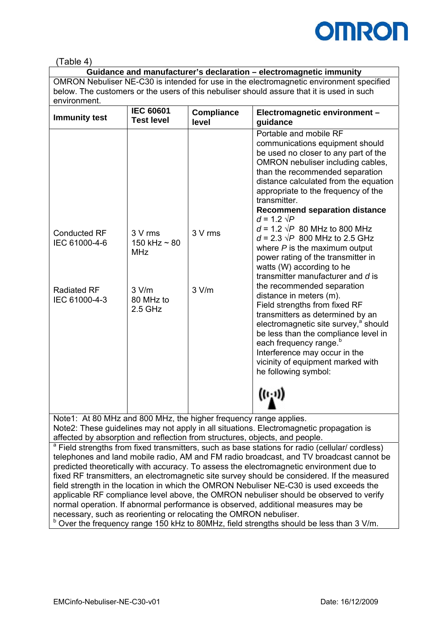

(Table 4)

| Guidance and manufacturer's declaration - electromagnetic immunity                        |                  |              |                |
|-------------------------------------------------------------------------------------------|------------------|--------------|----------------|
| OMRON Nebuliser NE-C30 is intended for use in the electromagnetic environment specified   |                  |              |                |
| below. The customers or the users of this nebuliser should assure that it is used in such |                  |              |                |
| environment.                                                                              |                  |              |                |
|                                                                                           | <b>IEC 60601</b> | l Compliance | $F_{\text{L}}$ |

| <b>Immunity test</b>                                                        | <b>IEC 60601</b><br><b>Test level</b>                                         | <b>Compliance</b><br>level | Electromagnetic environment -<br>guidance                                                                                                                                                                                                                                                                                                                                                                                                                                                                                                                                                                                                                                                                                                                                                                                                                                                                                         |
|-----------------------------------------------------------------------------|-------------------------------------------------------------------------------|----------------------------|-----------------------------------------------------------------------------------------------------------------------------------------------------------------------------------------------------------------------------------------------------------------------------------------------------------------------------------------------------------------------------------------------------------------------------------------------------------------------------------------------------------------------------------------------------------------------------------------------------------------------------------------------------------------------------------------------------------------------------------------------------------------------------------------------------------------------------------------------------------------------------------------------------------------------------------|
| <b>Conducted RF</b><br>IEC 61000-4-6<br><b>Radiated RF</b><br>IEC 61000-4-3 | 3 V rms<br>150 kHz $\sim$ 80<br><b>MHz</b><br>3 V/m<br>80 MHz to<br>$2.5$ GHz | 3 V rms<br>3 V/m           | Portable and mobile RF<br>communications equipment should<br>be used no closer to any part of the<br>OMRON nebuliser including cables,<br>than the recommended separation<br>distance calculated from the equation<br>appropriate to the frequency of the<br>transmitter.<br><b>Recommend separation distance</b><br>$d = 1.2 \sqrt{P}$<br>$d = 1.2 \sqrt{P}$ 80 MHz to 800 MHz<br>$d = 2.3 \sqrt{P}$ 800 MHz to 2.5 GHz<br>where $P$ is the maximum output<br>power rating of the transmitter in<br>watts (W) according to he<br>transmitter manufacturer and d is<br>the recommended separation<br>distance in meters (m).<br>Field strengths from fixed RF<br>transmitters as determined by an<br>electromagnetic site survey, <sup>a</sup> should<br>be less than the compliance level in<br>each frequency range. <sup>b</sup><br>Interference may occur in the<br>vicinity of equipment marked with<br>he following symbol: |
|                                                                             |                                                                               |                            | $((\cdot,\cdot))$                                                                                                                                                                                                                                                                                                                                                                                                                                                                                                                                                                                                                                                                                                                                                                                                                                                                                                                 |

Note1: At 80 MHz and 800 MHz, the higher frequency range applies. Note2: These guidelines may not apply in all situations. Electromagnetic propagation is affected by absorption and reflection from structures, objects, and people.

<sup>a</sup> Field strengths from fixed transmitters, such as base stations for radio (cellular/ cordless) telephones and land mobile radio, AM and FM radio broadcast, and TV broadcast cannot be predicted theoretically with accuracy. To assess the electromagnetic environment due to fixed RF transmitters, an electromagnetic site survey should be considered. If the measured field strength in the location in which the OMRON Nebuliser NE-C30 is used exceeds the applicable RF compliance level above, the OMRON nebuliser should be observed to verify normal operation. If abnormal performance is observed, additional measures may be necessary, such as reorienting or relocating the OMRON nebuliser.

<sup>b</sup> Over the frequency range 150 kHz to 80MHz, field strengths should be less than 3 V/m.